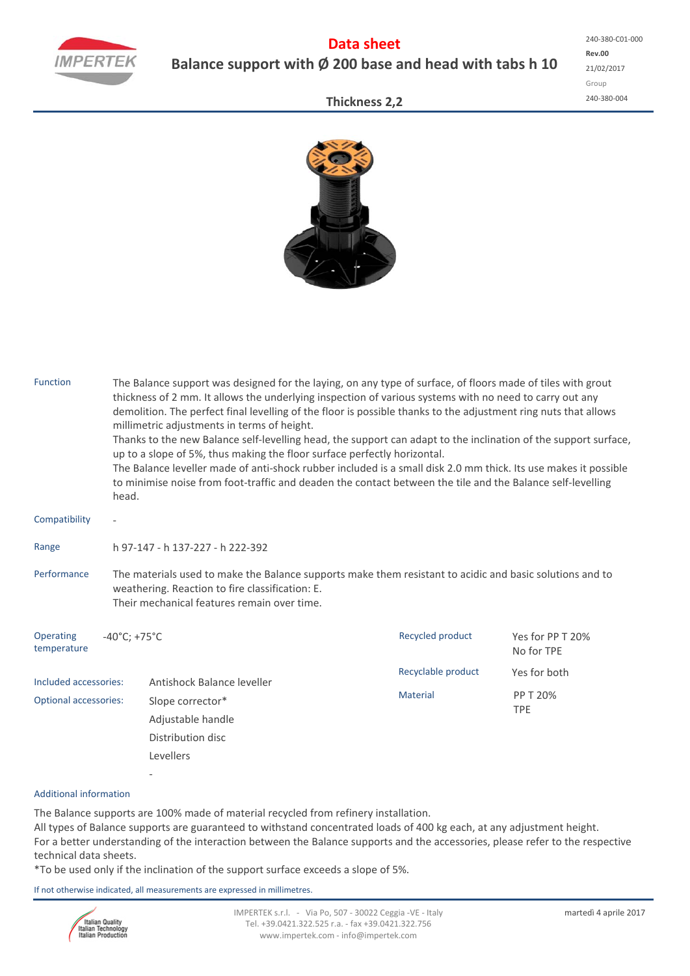

## **Data sheet Balance support with Ø 200 base and head with tabs h 10**

## **Thickness 2,2**



| <b>Function</b>              | head.                                                                                                                                                                                                      | The Balance support was designed for the laying, on any type of surface, of floors made of tiles with grout<br>thickness of 2 mm. It allows the underlying inspection of various systems with no need to carry out any<br>demolition. The perfect final levelling of the floor is possible thanks to the adjustment ring nuts that allows<br>millimetric adjustments in terms of height.<br>Thanks to the new Balance self-levelling head, the support can adapt to the inclination of the support surface,<br>up to a slope of 5%, thus making the floor surface perfectly horizontal.<br>The Balance leveller made of anti-shock rubber included is a small disk 2.0 mm thick. Its use makes it possible<br>to minimise noise from foot-traffic and deaden the contact between the tile and the Balance self-levelling |                    |                                |  |  |  |  |  |  |
|------------------------------|------------------------------------------------------------------------------------------------------------------------------------------------------------------------------------------------------------|--------------------------------------------------------------------------------------------------------------------------------------------------------------------------------------------------------------------------------------------------------------------------------------------------------------------------------------------------------------------------------------------------------------------------------------------------------------------------------------------------------------------------------------------------------------------------------------------------------------------------------------------------------------------------------------------------------------------------------------------------------------------------------------------------------------------------|--------------------|--------------------------------|--|--|--|--|--|--|
| Compatibility                |                                                                                                                                                                                                            |                                                                                                                                                                                                                                                                                                                                                                                                                                                                                                                                                                                                                                                                                                                                                                                                                          |                    |                                |  |  |  |  |  |  |
| Range                        | h 97-147 - h 137-227 - h 222-392                                                                                                                                                                           |                                                                                                                                                                                                                                                                                                                                                                                                                                                                                                                                                                                                                                                                                                                                                                                                                          |                    |                                |  |  |  |  |  |  |
| Performance                  | The materials used to make the Balance supports make them resistant to acidic and basic solutions and to<br>weathering. Reaction to fire classification: E.<br>Their mechanical features remain over time. |                                                                                                                                                                                                                                                                                                                                                                                                                                                                                                                                                                                                                                                                                                                                                                                                                          |                    |                                |  |  |  |  |  |  |
| Operating<br>temperature     | $-40^{\circ}$ C; +75 $^{\circ}$ C                                                                                                                                                                          |                                                                                                                                                                                                                                                                                                                                                                                                                                                                                                                                                                                                                                                                                                                                                                                                                          | Recycled product   | Yes for PP T 20%<br>No for TPE |  |  |  |  |  |  |
| Included accessories:        | Antishock Balance leveller                                                                                                                                                                                 |                                                                                                                                                                                                                                                                                                                                                                                                                                                                                                                                                                                                                                                                                                                                                                                                                          | Recyclable product | Yes for both                   |  |  |  |  |  |  |
| <b>Optional accessories:</b> |                                                                                                                                                                                                            | Slope corrector*<br>Adjustable handle                                                                                                                                                                                                                                                                                                                                                                                                                                                                                                                                                                                                                                                                                                                                                                                    | Material           | PP T 20%<br><b>TPE</b>         |  |  |  |  |  |  |
|                              |                                                                                                                                                                                                            | Distribution disc                                                                                                                                                                                                                                                                                                                                                                                                                                                                                                                                                                                                                                                                                                                                                                                                        |                    |                                |  |  |  |  |  |  |
|                              |                                                                                                                                                                                                            | Levellers                                                                                                                                                                                                                                                                                                                                                                                                                                                                                                                                                                                                                                                                                                                                                                                                                |                    |                                |  |  |  |  |  |  |
|                              |                                                                                                                                                                                                            |                                                                                                                                                                                                                                                                                                                                                                                                                                                                                                                                                                                                                                                                                                                                                                                                                          |                    |                                |  |  |  |  |  |  |

## Additional information

The Balance supports are 100% made of material recycled from refinery installation. All types of Balance supports are guaranteed to withstand concentrated loads of 400 kg each, at any adjustment height. For a better understanding of the interaction between the Balance supports and the accessories, please refer to the respective technical data sheets.

\*To be used only if the inclination of the support surface exceeds a slope of 5%.

If not otherwise indicated, all measurements are expressed in millimetres.